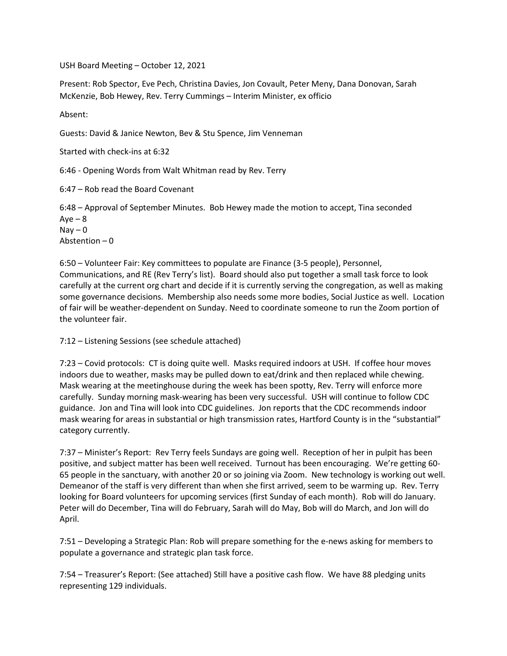USH Board Meeting – October 12, 2021

Present: Rob Spector, Eve Pech, Christina Davies, Jon Covault, Peter Meny, Dana Donovan, Sarah McKenzie, Bob Hewey, Rev. Terry Cummings – Interim Minister, ex officio

Absent:

Guests: David & Janice Newton, Bev & Stu Spence, Jim Venneman

Started with check-ins at 6:32

6:46 - Opening Words from Walt Whitman read by Rev. Terry

6:47 – Rob read the Board Covenant

6:48 – Approval of September Minutes. Bob Hewey made the motion to accept, Tina seconded  $Aye - 8$  $\text{Nay} - 0$ Abstention – 0

6:50 – Volunteer Fair: Key committees to populate are Finance (3-5 people), Personnel, Communications, and RE (Rev Terry's list). Board should also put together a small task force to look carefully at the current org chart and decide if it is currently serving the congregation, as well as making some governance decisions. Membership also needs some more bodies, Social Justice as well. Location of fair will be weather-dependent on Sunday. Need to coordinate someone to run the Zoom portion of the volunteer fair.

7:12 – Listening Sessions (see schedule attached)

7:23 – Covid protocols: CT is doing quite well. Masks required indoors at USH. If coffee hour moves indoors due to weather, masks may be pulled down to eat/drink and then replaced while chewing. Mask wearing at the meetinghouse during the week has been spotty, Rev. Terry will enforce more carefully. Sunday morning mask-wearing has been very successful. USH will continue to follow CDC guidance. Jon and Tina will look into CDC guidelines. Jon reports that the CDC recommends indoor mask wearing for areas in substantial or high transmission rates, Hartford County is in the "substantial" category currently.

7:37 – Minister's Report: Rev Terry feels Sundays are going well. Reception of her in pulpit has been positive, and subject matter has been well received. Turnout has been encouraging. We're getting 60- 65 people in the sanctuary, with another 20 or so joining via Zoom. New technology is working out well. Demeanor of the staff is very different than when she first arrived, seem to be warming up. Rev. Terry looking for Board volunteers for upcoming services (first Sunday of each month). Rob will do January. Peter will do December, Tina will do February, Sarah will do May, Bob will do March, and Jon will do April.

7:51 – Developing a Strategic Plan: Rob will prepare something for the e-news asking for members to populate a governance and strategic plan task force.

7:54 – Treasurer's Report: (See attached) Still have a positive cash flow. We have 88 pledging units representing 129 individuals.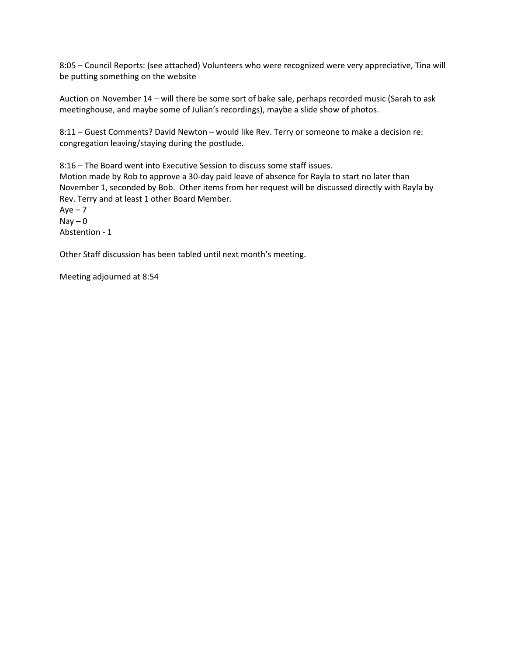8:05 – Council Reports: (see attached) Volunteers who were recognized were very appreciative, Tina will be putting something on the website

Auction on November 14 – will there be some sort of bake sale, perhaps recorded music (Sarah to ask meetinghouse, and maybe some of Julian's recordings), maybe a slide show of photos.

8:11 – Guest Comments? David Newton – would like Rev. Terry or someone to make a decision re: congregation leaving/staying during the postlude.

8:16 – The Board went into Executive Session to discuss some staff issues. Motion made by Rob to approve a 30-day paid leave of absence for Rayla to start no later than November 1, seconded by Bob. Other items from her request will be discussed directly with Rayla by Rev. Terry and at least 1 other Board Member.

 $Aye - 7$  $\text{Nav} - \text{O}$ Abstention - 1

Other Staff discussion has been tabled until next month's meeting.

Meeting adjourned at 8:54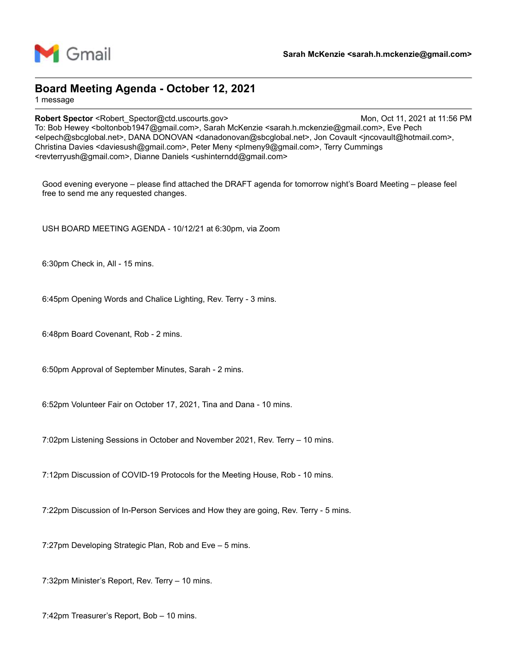

### **Board Meeting Agenda - October 12, 2021**

1 message

**Robert Spector <Robert** Spector@ctd.uscourts.gov> Mon, Oct 11, 2021 at 11:56 PM To: Bob Hewey <boltonbob1947@gmail.com>, Sarah McKenzie <sarah.h.mckenzie@gmail.com>, Eve Pech <elpech@sbcglobal.net>, DANA DONOVAN <danadonovan@sbcglobal.net>, Jon Covault <jncovault@hotmail.com>, Christina Davies <daviesush@gmail.com>, Peter Meny <plmeny9@gmail.com>, Terry Cummings <revterryush@gmail.com>, Dianne Daniels <ushinterndd@gmail.com>

Good evening everyone – please find attached the DRAFT agenda for tomorrow night's Board Meeting – please feel free to send me any requested changes.

USH BOARD MEETING AGENDA - 10/12/21 at 6:30pm, via Zoom

6:30pm Check in, All - 15 mins.

6:45pm Opening Words and Chalice Lighting, Rev. Terry - 3 mins.

6:48pm Board Covenant, Rob - 2 mins.

6:50pm Approval of September Minutes, Sarah - 2 mins.

6:52pm Volunteer Fair on October 17, 2021, Tina and Dana - 10 mins.

7:02pm Listening Sessions in October and November 2021, Rev. Terry – 10 mins.

7:12pm Discussion of COVID-19 Protocols for the Meeting House, Rob - 10 mins.

7:22pm Discussion of In-Person Services and How they are going, Rev. Terry - 5 mins.

7:27pm Developing Strategic Plan, Rob and Eve – 5 mins.

7:32pm Minister's Report, Rev. Terry – 10 mins.

7:42pm Treasurer's Report, Bob – 10 mins.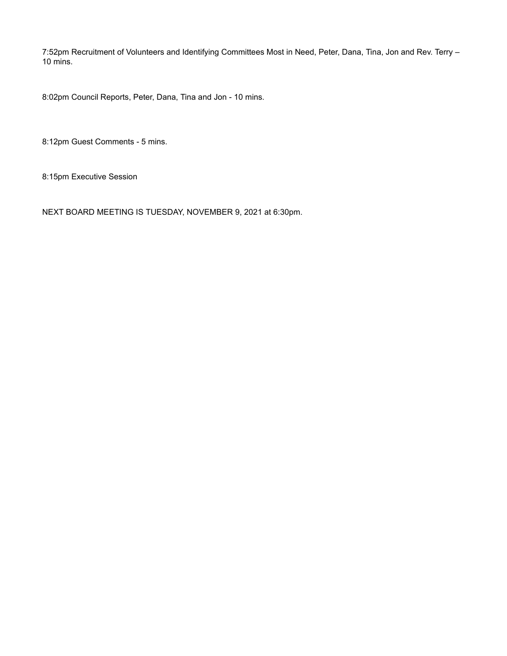7:52pm Recruitment of Volunteers and Identifying Committees Most in Need, Peter, Dana, Tina, Jon and Rev. Terry – 10 mins.

8:02pm Council Reports, Peter, Dana, Tina and Jon - 10 mins.

8:12pm Guest Comments - 5 mins.

8:15pm Executive Session

NEXT BOARD MEETING IS TUESDAY, NOVEMBER 9, 2021 at 6:30pm.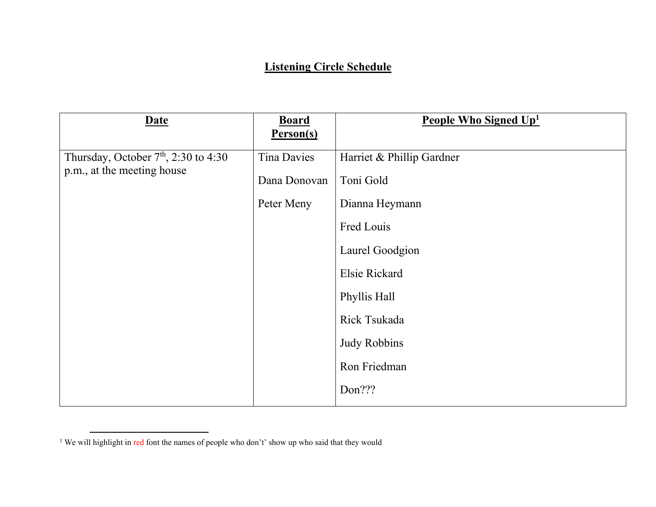## **Listening Circle Schedule**

| <b>Date</b>                                                          | <b>Board</b><br><u>Person(s)</u>                 | People Who Signed Up <sup>1</sup>                                                                                                                                                           |
|----------------------------------------------------------------------|--------------------------------------------------|---------------------------------------------------------------------------------------------------------------------------------------------------------------------------------------------|
| Thursday, October $7th$ , 2:30 to 4:30<br>p.m., at the meeting house | <b>Tina Davies</b><br>Dana Donovan<br>Peter Meny | Harriet & Phillip Gardner<br>Toni Gold<br>Dianna Heymann<br>Fred Louis<br>Laurel Goodgion<br>Elsie Rickard<br>Phyllis Hall<br>Rick Tsukada<br><b>Judy Robbins</b><br>Ron Friedman<br>Don??? |

<sup>&</sup>lt;sup>1</sup> We will highlight in red font the names of people who don't' show up who said that they would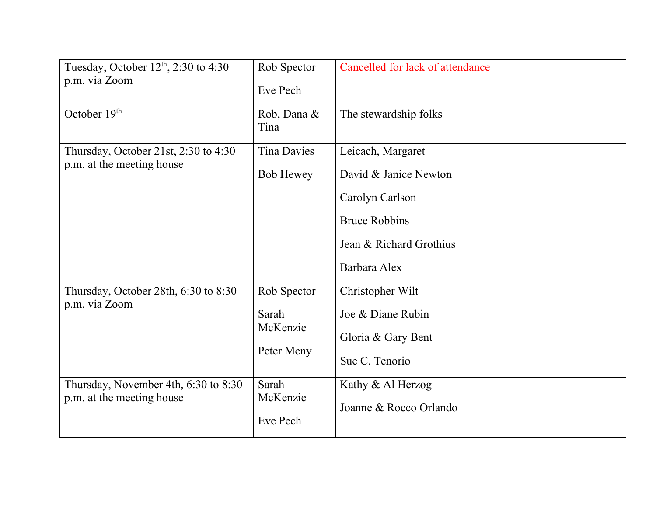| Tuesday, October $12th$ , 2:30 to 4:30<br>p.m. via Zoom           | Rob Spector                     | Cancelled for lack of attendance |
|-------------------------------------------------------------------|---------------------------------|----------------------------------|
|                                                                   | Eve Pech                        |                                  |
| October 19th                                                      | Rob, Dana &<br>Tina             | The stewardship folks            |
| Thursday, October 21st, 2:30 to 4:30<br>p.m. at the meeting house | <b>Tina Davies</b>              | Leicach, Margaret                |
|                                                                   | <b>Bob Hewey</b>                | David & Janice Newton            |
|                                                                   |                                 | Carolyn Carlson                  |
|                                                                   |                                 | <b>Bruce Robbins</b>             |
|                                                                   |                                 | Jean & Richard Grothius          |
|                                                                   |                                 | Barbara Alex                     |
| Thursday, October 28th, 6:30 to 8:30<br>p.m. via Zoom             | Rob Spector                     | Christopher Wilt                 |
|                                                                   | Sarah<br>McKenzie<br>Peter Meny | Joe & Diane Rubin                |
|                                                                   |                                 | Gloria & Gary Bent               |
|                                                                   |                                 | Sue C. Tenorio                   |
| Thursday, November 4th, 6:30 to 8:30<br>p.m. at the meeting house | Sarah<br>McKenzie<br>Eve Pech   | Kathy & Al Herzog                |
|                                                                   |                                 | Joanne & Rocco Orlando           |
|                                                                   |                                 |                                  |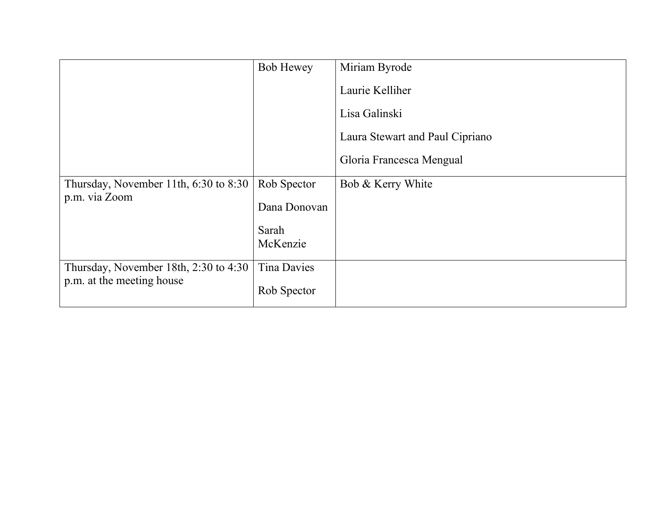|                                                                    | <b>Bob Hewey</b>   | Miriam Byrode                   |
|--------------------------------------------------------------------|--------------------|---------------------------------|
|                                                                    |                    | Laurie Kelliher                 |
|                                                                    |                    | Lisa Galinski                   |
|                                                                    |                    | Laura Stewart and Paul Cipriano |
|                                                                    |                    | Gloria Francesca Mengual        |
| Thursday, November 11th, 6:30 to 8:30<br>p.m. via Zoom             | Rob Spector        | Bob & Kerry White               |
|                                                                    | Dana Donovan       |                                 |
|                                                                    | Sarah              |                                 |
|                                                                    | McKenzie           |                                 |
| Thursday, November 18th, 2:30 to 4:30<br>p.m. at the meeting house | <b>Tina Davies</b> |                                 |
|                                                                    | Rob Spector        |                                 |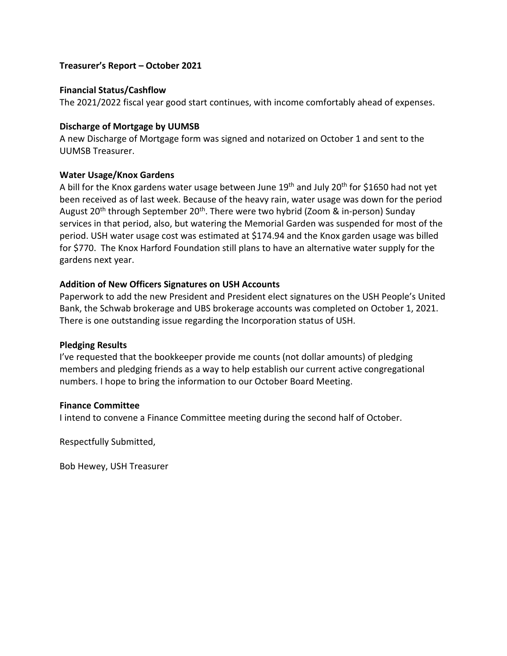#### **Treasurer's Report – October 2021**

#### **Financial Status/Cashflow**

The 2021/2022 fiscal year good start continues, with income comfortably ahead of expenses.

#### **Discharge of Mortgage by UUMSB**

A new Discharge of Mortgage form was signed and notarized on October 1 and sent to the UUMSB Treasurer.

#### **Water Usage/Knox Gardens**

A bill for the Knox gardens water usage between June  $19<sup>th</sup>$  and July 20<sup>th</sup> for \$1650 had not yet been received as of last week. Because of the heavy rain, water usage was down for the period August 20<sup>th</sup> through September 20<sup>th</sup>. There were two hybrid (Zoom & in-person) Sunday services in that period, also, but watering the Memorial Garden was suspended for most of the period. USH water usage cost was estimated at \$174.94 and the Knox garden usage was billed for \$770. The Knox Harford Foundation still plans to have an alternative water supply for the gardens next year.

#### **Addition of New Officers Signatures on USH Accounts**

Paperwork to add the new President and President elect signatures on the USH People's United Bank, the Schwab brokerage and UBS brokerage accounts was completed on October 1, 2021. There is one outstanding issue regarding the Incorporation status of USH.

#### **Pledging Results**

I've requested that the bookkeeper provide me counts (not dollar amounts) of pledging members and pledging friends as a way to help establish our current active congregational numbers. I hope to bring the information to our October Board Meeting.

#### **Finance Committee**

I intend to convene a Finance Committee meeting during the second half of October.

Respectfully Submitted,

Bob Hewey, USH Treasurer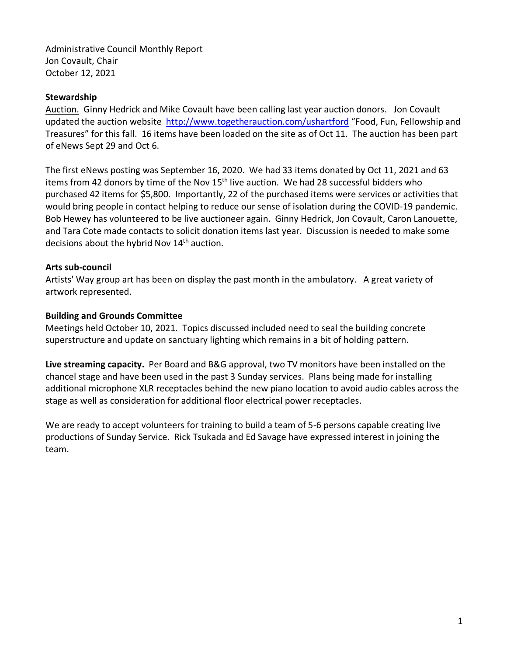Administrative Council Monthly Report Jon Covault, Chair October 12, 2021

#### **Stewardship**

Auction. Ginny Hedrick and Mike Covault have been calling last year auction donors. Jon Covault updated the auction website http://www.togetherauction.com/ushartford "Food, Fun, Fellowship and Treasures" for this fall. 16 items have been loaded on the site as of Oct 11. The auction has been part of eNews Sept 29 and Oct 6.

The first eNews posting was September 16, 2020. We had 33 items donated by Oct 11, 2021 and 63 items from 42 donors by time of the Nov 15<sup>th</sup> live auction. We had 28 successful bidders who purchased 42 items for \$5,800. Importantly, 22 of the purchased items were services or activities that would bring people in contact helping to reduce our sense of isolation during the COVID-19 pandemic. Bob Hewey has volunteered to be live auctioneer again. Ginny Hedrick, Jon Covault, Caron Lanouette, and Tara Cote made contacts to solicit donation items last year. Discussion is needed to make some decisions about the hybrid Nov 14<sup>th</sup> auction.

### **Arts sub-council**

Artists' Way group art has been on display the past month in the ambulatory. A great variety of artwork represented.

#### **Building and Grounds Committee**

Meetings held October 10, 2021. Topics discussed included need to seal the building concrete superstructure and update on sanctuary lighting which remains in a bit of holding pattern.

**Live streaming capacity.** Per Board and B&G approval, two TV monitors have been installed on the chancel stage and have been used in the past 3 Sunday services. Plans being made for installing additional microphone XLR receptacles behind the new piano location to avoid audio cables across the stage as well as consideration for additional floor electrical power receptacles.

We are ready to accept volunteers for training to build a team of 5-6 persons capable creating live productions of Sunday Service. Rick Tsukada and Ed Savage have expressed interest in joining the team.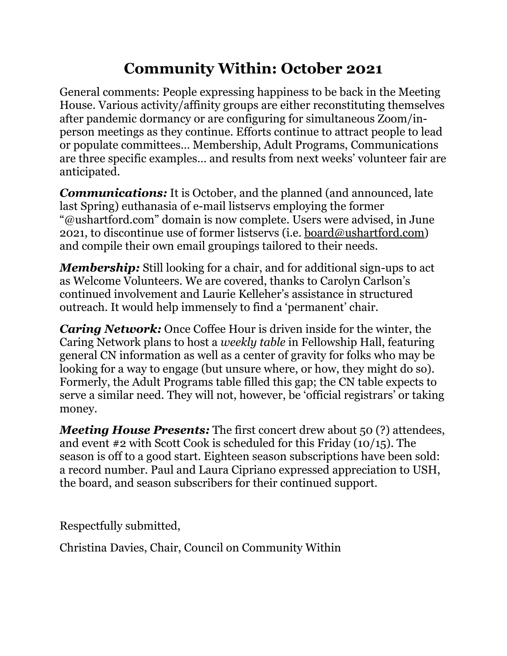# **Community Within: October 2021**

General comments: People expressing happiness to be back in the Meeting House. Various activity/affinity groups are either reconstituting themselves after pandemic dormancy or are configuring for simultaneous Zoom/inperson meetings as they continue. Efforts continue to attract people to lead or populate committees… Membership, Adult Programs, Communications are three specific examples… and results from next weeks' volunteer fair are anticipated.

*Communications:* It is October, and the planned (and announced, late last Spring) euthanasia of e-mail listservs employing the former "@ushartford.com" domain is now complete. Users were advised, in June 2021, to discontinue use of former listservs (i.e. [board@ushartford.com\)](mailto:board@ushartford.com) and compile their own email groupings tailored to their needs.

*Membership:* Still looking for a chair, and for additional sign-ups to act as Welcome Volunteers. We are covered, thanks to Carolyn Carlson's continued involvement and Laurie Kelleher's assistance in structured outreach. It would help immensely to find a 'permanent' chair.

*Caring Network:* Once Coffee Hour is driven inside for the winter, the Caring Network plans to host a *weekly table* in Fellowship Hall, featuring general CN information as well as a center of gravity for folks who may be looking for a way to engage (but unsure where, or how, they might do so). Formerly, the Adult Programs table filled this gap; the CN table expects to serve a similar need. They will not, however, be 'official registrars' or taking money.

*Meeting House Presents:* The first concert drew about 50 (?) attendees, and event #2 with Scott Cook is scheduled for this Friday (10/15). The season is off to a good start. Eighteen season subscriptions have been sold: a record number. Paul and Laura Cipriano expressed appreciation to USH, the board, and season subscribers for their continued support.

Respectfully submitted,

Christina Davies, Chair, Council on Community Within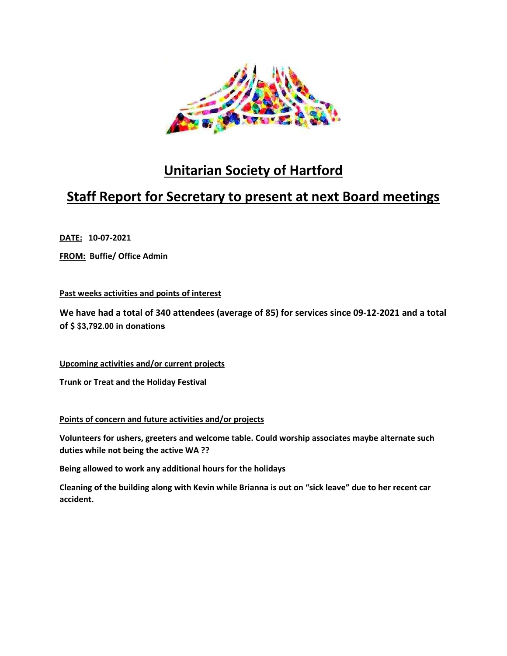

## **Unitarian Society of Hartford**

## **Staff Report for Secretary to present at next Board meetings**

**DATE: 10-07-2021** 

**FROM: Buffie/ Office Admin** 

#### **Past weeks activities and points of interest**

**We have had a total of 340 attendees (average of 85) for services since 09-12-2021 and a total of \$** \$**3,792.00 in donations** 

**Upcoming activities and/or current projects** 

**Trunk or Treat and the Holiday Festival** 

#### **Points of concern and future activities and/or projects**

**Volunteers for ushers, greeters and welcome table. Could worship associates maybe alternate such duties while not being the active WA ??** 

**Being allowed to work any additional hours for the holidays** 

**Cleaning of the building along with Kevin while Brianna is out on "sick leave" due to her recent car accident.**